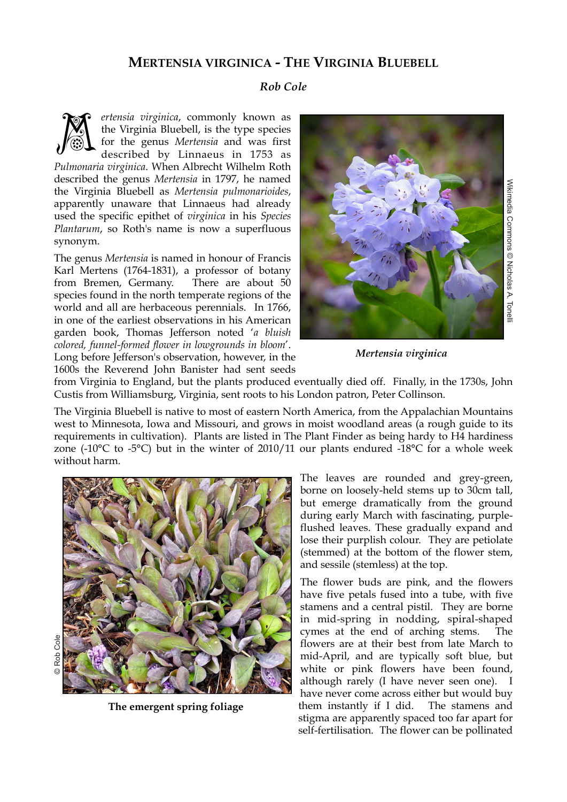## **MERTENSIA VIRGINICA - THE VIRGINIA BLUEBELL**

## *Rob Cole*

*ertensia virginica*, commonly known as the Virginia Bluebell, is the type species for the genus *Mertensia* and was first described by Linnaeus in 1753 as *Pulmonaria virginica*. When Albrecht Wilhelm Roth described the genus *Mertensia* in 1797, he named the Virginia Bluebell as *Mertensia pulmonarioides*, apparently unaware that Linnaeus had already used the specific epithet of *virginica* in his *Species Plantarum*, so Roth's name is now a superfluous synonym. M

The genus *Mertensia* is named in honour of Francis Karl Mertens (1764-1831), a professor of botany from Bremen, Germany. There are about 50 species found in the north temperate regions of the world and all are herbaceous perennials. In 1766, in one of the earliest observations in his American garden book, Thomas Jefferson noted '*a bluish colored, funnel-formed flower in lowgrounds in bloom*'. Long before Jefferson's observation, however, in the 1600s the Reverend John Banister had sent seeds



*Mertensia virginica*

from Virginia to England, but the plants produced eventually died off. Finally, in the 1730s, John Custis from Williamsburg, Virginia, sent roots to his London patron, Peter Collinson.

The Virginia Bluebell is native to most of eastern North America, from the Appalachian Mountains west to Minnesota, Iowa and Missouri, and grows in moist woodland areas (a rough guide to its requirements in cultivation). Plants are listed in The Plant Finder as being hardy to H4 hardiness zone (-10 $^{\circ}$ C to -5 $^{\circ}$ C) but in the winter of 2010/11 our plants endured -18 $^{\circ}$ C for a whole week without harm.



**The emergent spring foliage** 

The leaves are rounded and grey-green, borne on loosely-held stems up to 30cm tall, but emerge dramatically from the ground during early March with fascinating, purpleflushed leaves. These gradually expand and lose their purplish colour. They are petiolate (stemmed) at the bottom of the flower stem, and sessile (stemless) at the top.

The flower buds are pink, and the flowers have five petals fused into a tube, with five stamens and a central pistil. They are borne in mid-spring in nodding, spiral-shaped cymes at the end of arching stems. The flowers are at their best from late March to mid-April, and are typically soft blue, but white or pink flowers have been found, although rarely (I have never seen one). I have never come across either but would buy them instantly if I did. The stamens and stigma are apparently spaced too far apart for self-fertilisation. The flower can be pollinated